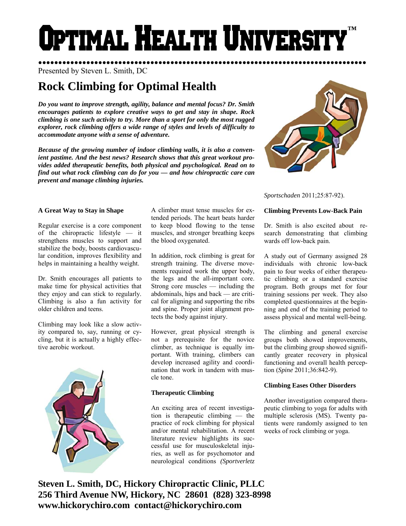# **DTIMAL HEALTH UNIVERS ™**

●●●●●●●●●●●●●●●●●●●●●●●●●●●●●●●●●●●●●●●●●●●●●●●●●●●●●●●●●●●●●●●●●●●●●●●●●●●●●●●●●● Presented by Steven L. Smith, DC

# **Rock Climbing for Optimal Health**

*Do you want to improve strength, agility, balance and mental focus? Dr. Smith encourages patients to explore creative ways to get and stay in shape. Rock climbing is one such activity to try. More than a sport for only the most rugged explorer, rock climbing offers a wide range of styles and levels of difficulty to accommodate anyone with a sense of adventure.* 

*Because of the growing number of indoor climbing walls, it is also a convenient pastime. And the best news? Research shows that this great workout provides added therapeutic benefits, both physical and psychological. Read on to find out what rock climbing can do for you — and how chiropractic care can prevent and manage climbing injuries.* 



Regular exercise is a core component of the chiropractic lifestyle — it strengthens muscles to support and stabilize the body, boosts cardiovascular condition, improves flexibility and helps in maintaining a healthy weight.

Dr. Smith encourages all patients to make time for physical activities that they enjoy and can stick to regularly. Climbing is also a fun activity for older children and teens.

Climbing may look like a slow activity compared to, say, running or cycling, but it is actually a highly effective aerobic workout.



A climber must tense muscles for extended periods. The heart beats harder to keep blood flowing to the tense muscles, and stronger breathing keeps the blood oxygenated.

In addition, rock climbing is great for strength training. The diverse movements required work the upper body, the legs and the all-important core. Strong core muscles — including the abdominals, hips and back — are critical for aligning and supporting the ribs and spine. Proper joint alignment protects the body against injury.

However, great physical strength is not a prerequisite for the novice climber, as technique is equally important. With training, climbers can develop increased agility and coordination that work in tandem with muscle tone.

# **Therapeutic Climbing**

An exciting area of recent investigation is therapeutic climbing — the practice of rock climbing for physical and/or mental rehabilitation. A recent literature review highlights its successful use for musculoskeletal injuries, as well as for psychomotor and neurological conditions *(Sportverletz* 



*Sportschaden* 2011;25:87-92).

# **Climbing Prevents Low-Back Pain**

Dr. Smith is also excited about research demonstrating that climbing wards off low-back pain.

A study out of Germany assigned 28 individuals with chronic low-back pain to four weeks of either therapeutic climbing or a standard exercise program. Both groups met for four training sessions per week. They also completed questionnaires at the beginning and end of the training period to assess physical and mental well-being.

The climbing and general exercise groups both showed improvements, but the climbing group showed significantly greater recovery in physical functioning and overall health perception (*Spine* 2011;36:842-9).

# **Climbing Eases Other Disorders**

Another investigation compared therapeutic climbing to yoga for adults with multiple sclerosis (MS). Twenty patients were randomly assigned to ten weeks of rock climbing or yoga.

**Steven L. Smith, DC, Hickory Chiropractic Clinic, PLLC 256 Third Avenue NW, Hickory, NC 28601 (828) 323-8998 www.hickorychiro.com contact@hickorychiro.com**